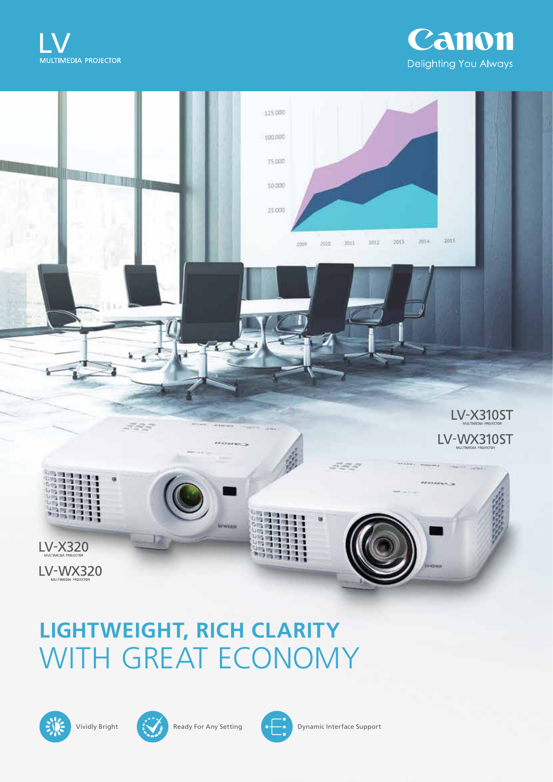





# WITH GREAT ECONOMY **LIGHTWEIGHT, RICH CLARITY**







Vividly Bright **Ready For Any Setting Community** Dynamic Interface Support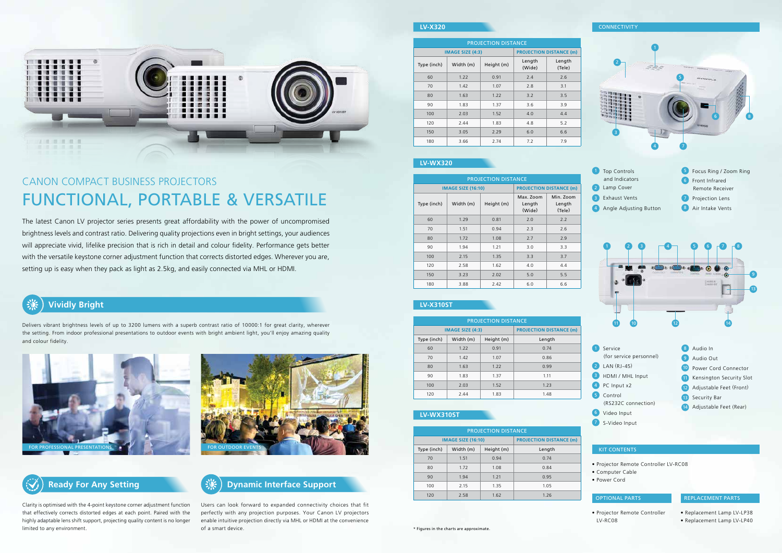# **Vividly Bright**

## **Dynamic Interface Support**

## **LV-WX310ST**

### **LV-X320**

## **LV-X310ST**

## **LV-WX320**



Delivers vibrant brightness levels of up to 3200 lumens with a superb contrast ratio of 10000:1 for great clarity, wherever the setting. From indoor professional presentations to outdoor events with bright ambient light, you'll enjoy amazing quality and colour fidelity.

> Users can look forward to expanded connectivity choices that fit perfectly with any projection purposes. Your Canon LV projectors enable intuitive projection directly via MHL or HDMI at the convenience of a smart device.

Clarity is optimised with the 4-point keystone corner adjustment function that effectively corrects distorted edges at each point. Paired with the highly adaptable lens shift support, projecting quality content is no longer limited to any environment.

| <b>PROJECTION DISTANCE</b> |                           |                                |        |  |  |
|----------------------------|---------------------------|--------------------------------|--------|--|--|
|                            | <b>IMAGE SIZE (16:10)</b> | <b>PROJECTION DISTANCE (m)</b> |        |  |  |
| Type (inch)                | Width (m)                 | Height (m)                     | Length |  |  |
| 70                         | 1.51                      | 0.94                           | 0.74   |  |  |
| 80                         | 1.72                      | 1.08                           | 0.84   |  |  |
| 90                         | 1.94                      | 1.21                           | 0.95   |  |  |
| 100                        | 2.15                      | 1.35                           | 1.05   |  |  |
| 120                        | 2.58                      | 1.62                           | 1.26   |  |  |

| <b>PROJECTION DISTANCE</b> |           |            |                                |                  |  |
|----------------------------|-----------|------------|--------------------------------|------------------|--|
| <b>IMAGE SIZE (4:3)</b>    |           |            | <b>PROJECTION DISTANCE (m)</b> |                  |  |
| Type (inch)                | Width (m) | Height (m) | Length<br>(Wide)               | Length<br>(Tele) |  |
| 60                         | 1.22      | 0.91       | 2.4                            | 2.6              |  |
| 70                         | 1.42      | 1.07       | 2.8                            | 3.1              |  |
| 80                         | 1.63      | 1.22       | 3.2                            | 3.5              |  |
| 90                         | 1.83      | 1.37       | 3.6                            | 3.9              |  |
| 100                        | 2.03      | 1.52       | 4.0                            | 4.4              |  |
| 120                        | 2.44      | 1.83       | 4.8                            | 5.2              |  |
| 150                        | 3.05      | 2.29       | 6.0                            | 6.6              |  |
| 180                        | 3.66      | 2.74       | 7.2                            | 7.9              |  |

| <b>PROJECTION DISTANCE</b> |                           |                                |                               |                               |  |
|----------------------------|---------------------------|--------------------------------|-------------------------------|-------------------------------|--|
|                            | <b>IMAGE SIZE (16:10)</b> | <b>PROJECTION DISTANCE (m)</b> |                               |                               |  |
| Type (inch)                | Width (m)                 | Height (m)                     | Max. Zoom<br>Length<br>(Wide) | Min. Zoom<br>Length<br>(Tele) |  |
| 60                         | 1.29                      | 0.81                           | 2.0                           | 2.2                           |  |
| 70                         | 1.51                      | 0.94                           | 2.3                           | 2.6                           |  |
| 80                         | 1.72                      | 1.08                           | 2.7                           | 2.9                           |  |
| 90                         | 1.94                      | 1.21                           | 3.0                           | 3.3                           |  |
| 100                        | 2.15                      | 1.35                           | 3.3                           | 3.7                           |  |
| 120                        | 2.58                      | 1.62                           | 4.0                           | 4.4                           |  |
| 150                        | 3.23                      | 2.02                           | 5.0                           | 5.5                           |  |
| 180                        | 3.88                      | 2.42                           | 6.0                           | 6.6                           |  |

| <b>PROJECTION DISTANCE</b> |           |            |                                |  |  |
|----------------------------|-----------|------------|--------------------------------|--|--|
| <b>IMAGE SIZE (4:3)</b>    |           |            | <b>PROJECTION DISTANCE (m)</b> |  |  |
| Type (inch)                | Width (m) | Height (m) | Length                         |  |  |
| 60                         | 1.22      | 0.91       | 0.74                           |  |  |
| 70                         | 1.42      | 1.07       | 0.86                           |  |  |
| 80                         | 1.63      | 1.22       | 0.99                           |  |  |
| 90                         | 1.83      | 1.37       | 1.11                           |  |  |
| 100                        | 2.03      | 1.52       | 1.23                           |  |  |
| 120                        | 2.44      | 1.83       | 1.48                           |  |  |

#### KIT CONTENTS

#### OPTIONAL PARTS





- Projector Remote Controller LV-RC08
- Computer Cable
- Power Cord

• Projector Remote Controller LV-RC08

#### REPLACEMENT PARTS

- Replacement Lamp LV-LP38
- Replacement Lamp LV-LP40



- 1 Top Controls and Indicators 2 Lamp Cover
- 3 Exhaust Vents
- 
- 4 Angle Adjusting Button
- 5 Focus Ring / Zoom Ring 6 Front Infrared Remote Receiver **7** Projection Lens
- 8 Air Intake Vents

The latest Canon LV projector series presents great affordability with the power of uncompromised brightness levels and contrast ratio. Delivering quality projections even in bright settings, your audiences will appreciate vivid, lifelike precision that is rich in detail and colour fidelity. Performance gets better with the versatile keystone corner adjustment function that corrects distorted edges. Wherever you are, setting up is easy when they pack as light as 2.5kg, and easily connected via MHL or HDMI.





# CANON COMPACT BUSINESS PROJECTORS FUNCTIONAL, PORTABLE & VERSATILE

8 Audio In



- 1 Service (for service personnel) **2** LAN (RJ-45) **3** HDMI / MHL Input
- 4 PC Input x2
- 5 Control
- (RS232C connection)
- 6 Video Input
- **7** S-Video Input
- 9 Audio Out 10 Power Cord Connector 11 Kensington Security Slot 12 Adjustable Feet (Front) 13 Security Bar 14 Adjustable Feet (Rear)